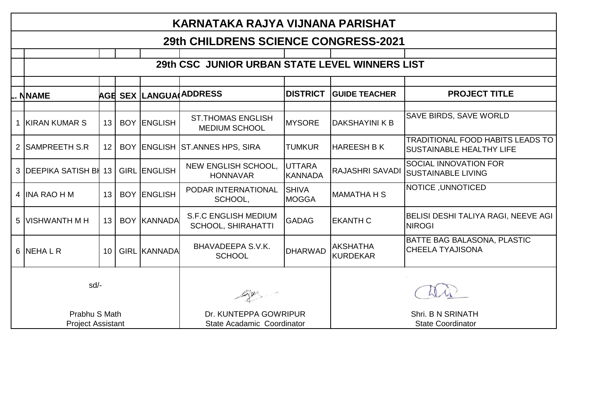| KARNATAKA RAJYA VIJNANA PARISHAT          |                 |  |                     |                                                          |                                 |                                               |                                                                            |  |  |
|-------------------------------------------|-----------------|--|---------------------|----------------------------------------------------------|---------------------------------|-----------------------------------------------|----------------------------------------------------------------------------|--|--|
| 29th CHILDRENS SCIENCE CONGRESS-2021      |                 |  |                     |                                                          |                                 |                                               |                                                                            |  |  |
|                                           |                 |  |                     | 29th CSC JUNIOR URBAN STATE LEVEL WINNERS LIST           |                                 |                                               |                                                                            |  |  |
|                                           |                 |  |                     |                                                          |                                 |                                               |                                                                            |  |  |
| NNAME                                     |                 |  |                     | <b>AGE SEX LANGUA ADDRESS</b>                            | <b>DISTRICT</b>                 | <b>GUIDE TEACHER</b>                          | <b>PROJECT TITLE</b>                                                       |  |  |
| 1 KIRAN KUMAR S                           | 13 <sup>2</sup> |  | <b>BOY ENGLISH</b>  | <b>ST.THOMAS ENGLISH</b><br>MEDIUM SCHOOL                | <b>MYSORE</b>                   | DAKSHAYINI K B                                | <b>SAVE BIRDS, SAVE WORLD</b>                                              |  |  |
| 2 SAMPREETH S.R                           | 12 <sup>2</sup> |  |                     | BOY ENGLISH ST.ANNES HPS, SIRA                           | <b>TUMKUR</b>                   | <b>HAREESH B K</b>                            | <b>TRADITIONAL FOOD HABITS LEADS TO</b><br><b>SUSTAINABLE HEALTHY LIFE</b> |  |  |
| 3 DEEPIKA SATISH BI                       | 13              |  | <b>GIRL ENGLISH</b> | NEW ENGLISH SCHOOL,<br><b>HONNAVAR</b>                   | <b>UTTARA</b><br><b>KANNADA</b> | <b>RAJASHRI SAVADI</b>                        | <b>SOCIAL INNOVATION FOR</b><br><b>SUSTAINABLE LIVING</b>                  |  |  |
| 4 IINA RAO H M                            | 13 <sup>2</sup> |  | <b>BOY ENGLISH</b>  | PODAR INTERNATIONAL<br>SCHOOL,                           | <b>SHIVA</b><br><b>MOGGA</b>    | <b>I</b> MAMATHA H S                          | NOTICE, UNNOTICED                                                          |  |  |
| 5 IVISHWANTH M H                          | 13 <sup>1</sup> |  | <b>BOY KANNADA</b>  | <b>S.F.C ENGLISH MEDIUM</b><br><b>SCHOOL, SHIRAHATTI</b> | <b>GADAG</b>                    | <b>EKANTH C</b>                               | BELISI DESHI TALIYA RAGI, NEEVE AGI<br><b>NIROGI</b>                       |  |  |
| 6 NEHALR                                  | 10 <sup>1</sup> |  | <b>GIRL KANNADA</b> | BHAVADEEPA S.V.K.<br><b>SCHOOL</b>                       | <b>DHARWAD</b>                  | <b>AKSHATHA</b><br>KURDEKAR                   | <b>BATTE BAG BALASONA, PLASTIC</b><br><b>CHEELA TYAJISONA</b>              |  |  |
| sd/-                                      |                 |  |                     |                                                          |                                 |                                               |                                                                            |  |  |
| Prabhu S Math<br><b>Project Assistant</b> |                 |  |                     | Dr. KUNTEPPA GOWRIPUR<br>State Acadamic Coordinator      |                                 | Shri, B N SRINATH<br><b>State Coordinator</b> |                                                                            |  |  |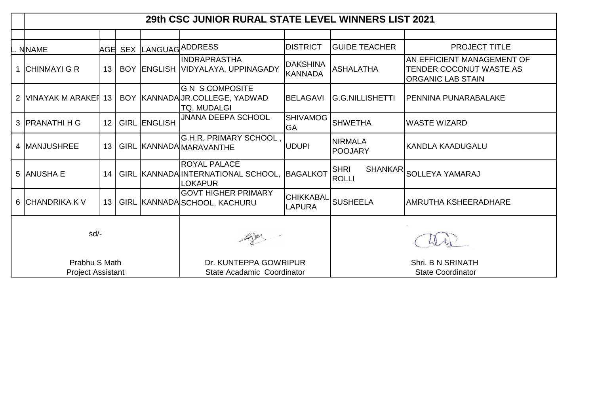|                                           |                 |                     | 29th CSC JUNIOR RURAL STATE LEVEL WINNERS LIST 2021                         |                                   |                                               |                                                                                   |  |
|-------------------------------------------|-----------------|---------------------|-----------------------------------------------------------------------------|-----------------------------------|-----------------------------------------------|-----------------------------------------------------------------------------------|--|
|                                           |                 |                     |                                                                             |                                   |                                               |                                                                                   |  |
| <b>NNAME</b>                              |                 |                     | AGE SEX LANGUAG ADDRESS                                                     | <b>DISTRICT</b>                   | <b>GUIDE TEACHER</b>                          | <b>PROJECT TITLE</b>                                                              |  |
| <b>ICHINMAYI G R</b>                      | 13 <sup>1</sup> |                     | <b>INDRAPRASTHA</b><br>BOY ENGLISH VIDYALAYA, UPPINAGADY                    | <b>DAKSHINA</b><br><b>KANNADA</b> | <b>ASHALATHA</b>                              | AN EFFICIENT MANAGEMENT OF<br>TENDER COCONUT WASTE AS<br><b>ORGANIC LAB STAIN</b> |  |
| 2 VINAYAK M ARAKER                        | 13 <sup>1</sup> |                     | <b>G N S COMPOSITE</b><br>BOY   KANNADA JR.COLLEGE, YADWAD<br>TQ, MUDALGI   | <b>BELAGAVI</b>                   | <b>G.G.NILLISHETTI</b>                        | <b>PENNINA PUNARABALAKE</b>                                                       |  |
| 3 <b>IPRANATHI H G</b>                    | 12 <sup>1</sup> | <b>GIRL ENGLISH</b> | JNANA DEEPA SCHOOL                                                          | <b>SHIVAMOG</b><br><b>GA</b>      | <b>ISHWETHA</b>                               | <b>WASTE WIZARD</b>                                                               |  |
| 4 <b>IMANJUSHREE</b>                      | 13 <sup>1</sup> |                     | <b>G.H.R. PRIMARY SCHOOL</b><br>GIRL KANNADA MARAVANTHE                     | <b>UDUPI</b>                      | <b>NIRMALA</b><br><b>POOJARY</b>              | KANDLA KAADUGALU                                                                  |  |
| 5 ANUSHA E                                | 14              |                     | <b>ROYAL PALACE</b><br>GIRL KANNADA INTERNATIONAL SCHOOL,<br><b>LOKAPUR</b> | BAGALKOT                          | <b>SHRI</b><br><b>SHANKAR</b><br>ROLLI        | <b>SOLLEYA YAMARAJ</b>                                                            |  |
| 6 CHANDRIKA K V                           | 13 I            |                     | <b>GOVT HIGHER PRIMARY</b><br>GIRL KANNADA SCHOOL, KACHURU                  | CHIKKABAL<br><b>LAPURA</b>        | <b>SUSHEELA</b>                               | AMRUTHA KSHEERADHARE                                                              |  |
| $sd/-$                                    |                 |                     |                                                                             |                                   |                                               |                                                                                   |  |
| Prabhu S Math<br><b>Project Assistant</b> |                 |                     | Dr. KUNTEPPA GOWRIPUR<br>State Acadamic Coordinator                         |                                   | Shri, B N SRINATH<br><b>State Coordinator</b> |                                                                                   |  |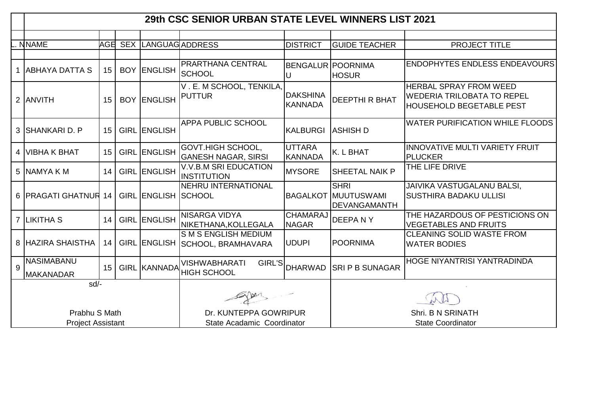|   |                                           |                 |                            | 29th CSC SENIOR URBAN STATE LEVEL WINNERS LIST 2021    |                                   |                                                                  |                                                                                                       |
|---|-------------------------------------------|-----------------|----------------------------|--------------------------------------------------------|-----------------------------------|------------------------------------------------------------------|-------------------------------------------------------------------------------------------------------|
|   |                                           |                 |                            |                                                        |                                   |                                                                  |                                                                                                       |
|   | <b>NNAME</b>                              |                 |                            | AGE SEX LANGUAG ADDRESS                                | <b>DISTRICT</b>                   | <b>GUIDE TEACHER</b>                                             | PROJECT TITLE                                                                                         |
|   | <b>ABHAYA DATTA S</b>                     | 15 <sup>1</sup> | <b>BOY ENGLISH</b>         | PRARTHANA CENTRAL<br>SCHOOL                            | U                                 | <b>BENGALUR POORNIMA</b><br><b>HOSUR</b>                         | <b>ENDOPHYTES ENDLESS ENDEAVOURS</b>                                                                  |
|   | 2 ANVITH                                  | 15              | <b>BOY ENGLISH</b>         | V. E. M SCHOOL, TENKILA,<br><b>PUTTUR</b>              | <b>DAKSHINA</b><br><b>KANNADA</b> | <b>DEEPTHI R BHAT</b>                                            | <b>HERBAL SPRAY FROM WEED</b><br><b>WEDERIA TRILOBATA TO REPEL</b><br><b>HOUSEHOLD BEGETABLE PEST</b> |
|   | 3 SHANKARI D. P                           | 15 <sup>1</sup> | <b>GIRL ENGLISH</b>        | <b>APPA PUBLIC SCHOOL</b>                              | <b>KALBURGI</b>                   | <b>ASHISH D</b>                                                  | <b>WATER PURIFICATION WHILE FLOODS</b>                                                                |
| 4 | <b>VIBHA K BHAT</b>                       | 15              | <b>GIRL ENGLISH</b>        | <b>GOVT.HIGH SCHOOL,</b><br><b>GANESH NAGAR, SIRSI</b> | <b>UTTARA</b><br>KANNADA          | K. L BHAT                                                        | INNOVATIVE MULTI VARIETY FRUIT<br><b>PLUCKER</b>                                                      |
|   | 5 NAMYA K M                               | 14              | <b>GIRL ENGLISH</b>        | <b>V.V.B.M SRI EDUCATION</b><br>INSTITUTION            | <b>MYSORE</b>                     | <b>SHEETAL NAIK P</b>                                            | THE LIFE DRIVE                                                                                        |
|   | 6 PRAGATI GHATNUR 14                      |                 | <b>GIRL ENGLISH SCHOOL</b> | NEHRU INTERNATIONAL                                    |                                   | <b>SHRI</b><br><b>BAGALKOT MUUTUSWAMI</b><br><b>DEVANGAMANTH</b> | <b>JAIVIKA VASTUGALANU BALSI,</b><br><b>SUSTHIRA BADAKU ULLISI</b>                                    |
|   | 7 LIKITHA S                               | 14              | GIRL ENGLISH               | <b>NISARGA VIDYA</b><br>NIKETHANA, KOLLEGALA           | <b>CHAMARAJ</b><br><b>NAGAR</b>   | DEEPANY                                                          | THE HAZARDOUS OF PESTICIONS ON<br><b>VEGETABLES AND FRUITS</b>                                        |
|   | 8 HAZIRA SHAISTHA                         | 14              | <b>GIRL ENGLISH</b>        | S M S ENGLISH MEDIUM<br>SCHOOL, BRAMHAVARA             | <b>UDUPI</b>                      | <b>POORNIMA</b>                                                  | CLEANING SOLID WASTE FROM<br><b>WATER BODIES</b>                                                      |
| 9 | <b>NASIMABANU</b><br><b>MAKANADAR</b>     | 15 <sup>1</sup> | <b>GIRL KANNADA</b>        | <b>VISHWABHARATI</b><br>GIRL'S<br><b>HIGH SCHOOL</b>   | <b>DHARWAD</b>                    | <b>SRIP B SUNAGAR</b>                                            | <b>HOGE NIYANTRISI YANTRADINDA</b>                                                                    |
|   | sd/-                                      |                 |                            |                                                        |                                   |                                                                  |                                                                                                       |
|   | Prabhu S Math<br><b>Project Assistant</b> |                 |                            | Dr. KUNTEPPA GOWRIPUR<br>State Acadamic Coordinator    |                                   | Shri. B N SRINATH<br><b>State Coordinator</b>                    |                                                                                                       |